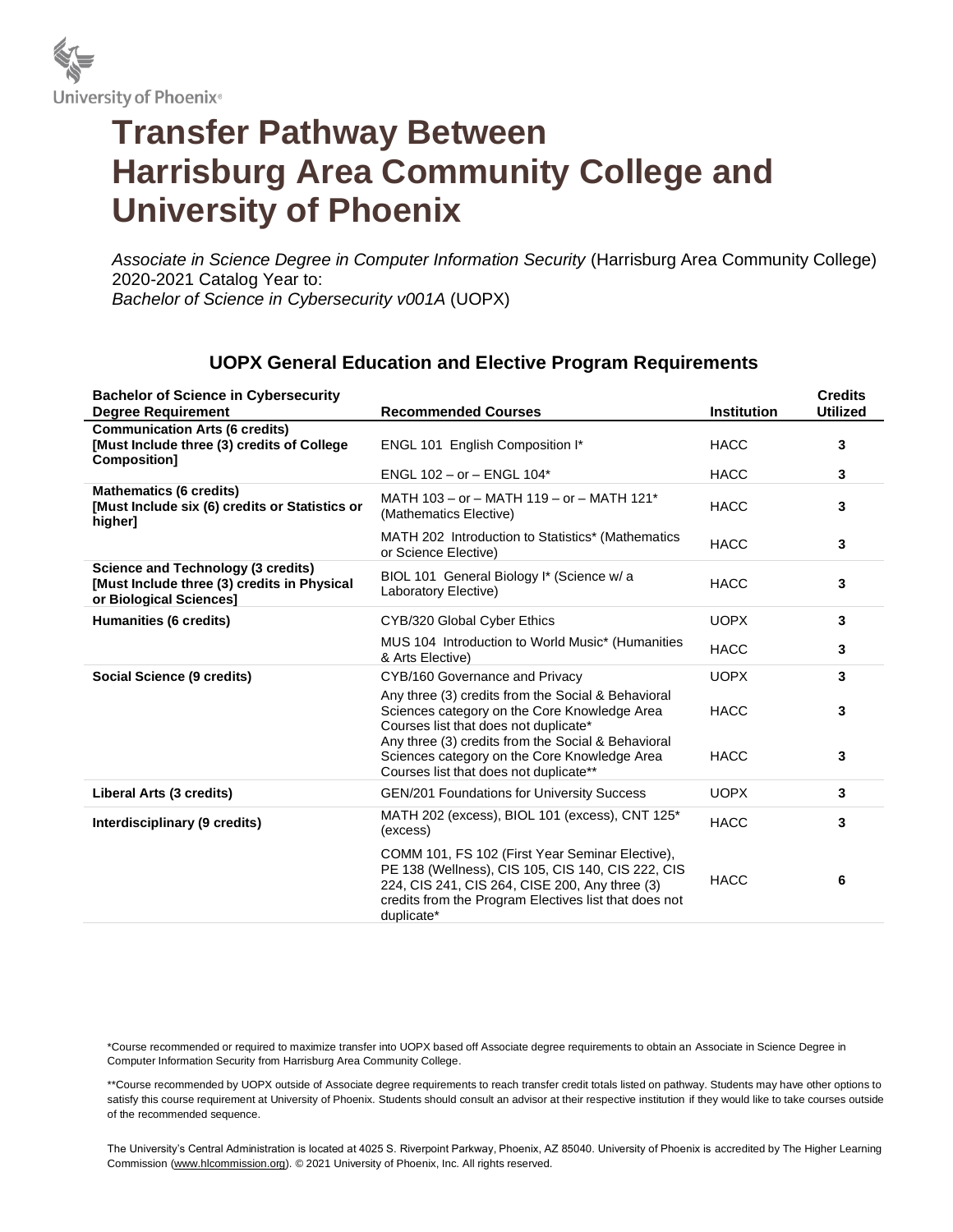

## **Transfer Pathway Between Harrisburg Area Community College and University of Phoenix**

*Associate in Science Degree in Computer Information Security* (Harrisburg Area Community College) 2020-2021 Catalog Year to: *Bachelor of Science in Cybersecurity v001A* (UOPX)

## **UOPX General Education and Elective Program Requirements**

| <b>Bachelor of Science in Cybersecurity</b><br><b>Degree Requirement</b>                                            | <b>Recommended Courses</b>                                                                                                                                                                                                    | <b>Institution</b> | <b>Credits</b><br><b>Utilized</b> |
|---------------------------------------------------------------------------------------------------------------------|-------------------------------------------------------------------------------------------------------------------------------------------------------------------------------------------------------------------------------|--------------------|-----------------------------------|
| <b>Communication Arts (6 credits)</b><br>[Must Include three (3) credits of College<br>Composition]                 | ENGL 101 English Composition I*                                                                                                                                                                                               | <b>HACC</b>        | 3                                 |
|                                                                                                                     | ENGL 102 - or - ENGL 104*                                                                                                                                                                                                     | <b>HACC</b>        | 3                                 |
| <b>Mathematics (6 credits)</b><br>[Must Include six (6) credits or Statistics or<br>higher]                         | MATH 103 - or - MATH 119 - or - MATH 121*<br>(Mathematics Elective)                                                                                                                                                           | <b>HACC</b>        | 3                                 |
|                                                                                                                     | MATH 202 Introduction to Statistics* (Mathematics<br>or Science Elective)                                                                                                                                                     | <b>HACC</b>        | 3                                 |
| <b>Science and Technology (3 credits)</b><br>[Must Include three (3) credits in Physical<br>or Biological Sciences] | BIOL 101 General Biology I* (Science w/a<br>Laboratory Elective)                                                                                                                                                              | <b>HACC</b>        | 3                                 |
| Humanities (6 credits)                                                                                              | CYB/320 Global Cyber Ethics                                                                                                                                                                                                   | <b>UOPX</b>        | 3                                 |
|                                                                                                                     | MUS 104 Introduction to World Music* (Humanities<br>& Arts Elective)                                                                                                                                                          | <b>HACC</b>        | 3                                 |
| Social Science (9 credits)                                                                                          | CYB/160 Governance and Privacy                                                                                                                                                                                                | <b>UOPX</b>        | 3                                 |
|                                                                                                                     | Any three (3) credits from the Social & Behavioral<br>Sciences category on the Core Knowledge Area<br>Courses list that does not duplicate*                                                                                   | <b>HACC</b>        | 3                                 |
|                                                                                                                     | Any three (3) credits from the Social & Behavioral<br>Sciences category on the Core Knowledge Area<br>Courses list that does not duplicate**                                                                                  | <b>HACC</b>        | 3                                 |
| Liberal Arts (3 credits)                                                                                            | <b>GEN/201 Foundations for University Success</b>                                                                                                                                                                             | <b>UOPX</b>        | 3                                 |
| Interdisciplinary (9 credits)                                                                                       | MATH 202 (excess), BIOL 101 (excess), CNT 125*<br>(excess)                                                                                                                                                                    | <b>HACC</b>        | 3                                 |
|                                                                                                                     | COMM 101, FS 102 (First Year Seminar Elective),<br>PE 138 (Wellness), CIS 105, CIS 140, CIS 222, CIS<br>224, CIS 241, CIS 264, CISE 200, Any three (3)<br>credits from the Program Electives list that does not<br>duplicate* | <b>HACC</b>        | 6                                 |

\*Course recommended or required to maximize transfer into UOPX based off Associate degree requirements to obtain an Associate in Science Degree in Computer Information Security from Harrisburg Area Community College.

\*\*Course recommended by UOPX outside of Associate degree requirements to reach transfer credit totals listed on pathway. Students may have other options to satisfy this course requirement at University of Phoenix. Students should consult an advisor at their respective institution if they would like to take courses outside of the recommended sequence.

The University's Central Administration is located at 4025 S. Riverpoint Parkway, Phoenix, AZ 85040. University of Phoenix is accredited by The Higher Learning Commission (www.hlcommission.org). © 2021 University of Phoenix, Inc. All rights reserved.